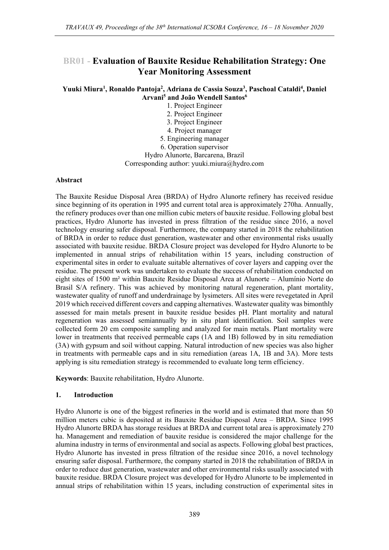# **BR01 - Evaluation of Bauxite Residue Rehabilitation Strategy: One Year Monitoring Assessment**

**Yuuki Miura<sup>1</sup> , Ronaldo Pantoja<sup>2</sup> , Adriana de Cassia Souza<sup>3</sup> , Paschoal Cataldi<sup>4</sup> , Daniel Arvani<sup>5</sup> and João Wendell Santos<sup>6</sup>**

- 1. Project Engineer
- 2. Project Engineer
- 3. Project Engineer
- 4. Project manager
- 5. Engineering manager
- 6. Operation supervisor

Hydro Alunorte, Barcarena, Brazil

Corresponding author: yuuki.miura@hydro.com

## **Abstract**

The Bauxite Residue Disposal Area (BRDA) of Hydro Alunorte refinery has received residue since beginning of its operation in 1995 and current total area is approximately 270ha. Annually, the refinery produces over than one million cubic meters of bauxite residue. Following global best practices, Hydro Alunorte has invested in press filtration of the residue since 2016, a novel technology ensuring safer disposal. Furthermore, the company started in 2018 the rehabilitation of BRDA in order to reduce dust generation, wastewater and other environmental risks usually associated with bauxite residue. BRDA Closure project was developed for Hydro Alunorte to be implemented in annual strips of rehabilitation within 15 years, including construction of experimental sites in order to evaluate suitable alternatives of cover layers and capping over the residue. The present work was undertaken to evaluate the success of rehabilitation conducted on eight sites of 1500 m² within Bauxite Residue Disposal Area at Alunorte – Alumínio Norte do Brasil S/A refinery. This was achieved by monitoring natural regeneration, plant mortality, wastewater quality of runoff and underdrainage by lysimeters. All sites were revegetated in April 2019 which received different covers and capping alternatives. Wastewater quality was bimonthly assessed for main metals present in bauxite residue besides pH. Plant mortality and natural regeneration was assessed semiannually by in situ plant identification. Soil samples were collected form 20 cm composite sampling and analyzed for main metals. Plant mortality were lower in treatments that received permeable caps (1A and 1B) followed by in situ remediation (3A) with gypsum and soil without capping. Natural introduction of new species was also higher in treatments with permeable caps and in situ remediation (areas 1A, 1B and 3A). More tests applying is situ remediation strategy is recommended to evaluate long term efficiency.

**Keywords**: Bauxite rehabilitation, Hydro Alunorte.

## **1. Introduction**

Hydro Alunorte is one of the biggest refineries in the world and is estimated that more than 50 million meters cubic is deposited at its Bauxite Residue Disposal Area – BRDA. Since 1995 Hydro Alunorte BRDA has storage residues at BRDA and current total area is approximately 270 ha. Management and remediation of bauxite residue is considered the major challenge for the alumina industry in terms of environmental and social as aspects. Following global best practices, Hydro Alunorte has invested in press filtration of the residue since 2016, a novel technology ensuring safer disposal. Furthermore, the company started in 2018 the rehabilitation of BRDA in order to reduce dust generation, wastewater and other environmental risks usually associated with bauxite residue. BRDA Closure project was developed for Hydro Alunorte to be implemented in annual strips of rehabilitation within 15 years, including construction of experimental sites in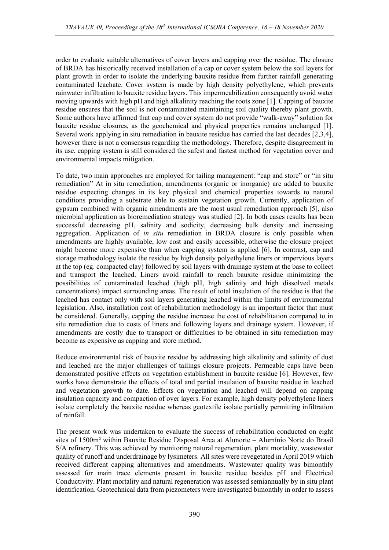order to evaluate suitable alternatives of cover layers and capping over the residue. The closure of BRDA has historically received installation of a cap or cover system below the soil layers for plant growth in order to isolate the underlying bauxite residue from further rainfall generating contaminated leachate. Cover system is made by high density polyethylene, which prevents rainwater infiltration to bauxite residue layers. This impermeabilization consequently avoid water moving upwards with high pH and high alkalinity reaching the roots zone [1]. Capping of bauxite residue ensures that the soil is not contaminated maintaining soil quality thereby plant growth. Some authors have affirmed that cap and cover system do not provide "walk-away" solution for bauxite residue closures, as the geochemical and physical properties remains unchanged [1]. Several work applying in situ remediation in bauxite residue has carried the last decades [2,3,4], however there is not a consensus regarding the methodology. Therefore, despite disagreement in its use, capping system is still considered the safest and fastest method for vegetation cover and environmental impacts mitigation.

To date, two main approaches are employed for tailing management: "cap and store" or "in situ remediation" At in situ remediation, amendments (organic or inorganic) are added to bauxite residue expecting changes in its key physical and chemical properties towards to natural conditions providing a substrate able to sustain vegetation growth. Currently, application of gypsum combined with organic amendments are the most usual remediation approach [5], also microbial application as bioremediation strategy was studied [2]. In both cases results has been successful decreasing pH, salinity and sodicity, decreasing bulk density and increasing aggregation. Application of *in situ* remediation in BRDA closure is only possible when amendments are highly available, low cost and easily accessible, otherwise the closure project might become more expensive than when capping system is applied [6]. In contrast, cap and storage methodology isolate the residue by high density polyethylene liners or impervious layers at the top (eg. compacted clay) followed by soil layers with drainage system at the base to collect and transport the leached. Liners avoid rainfall to reach bauxite residue minimizing the possibilities of contaminated leached (high pH, high salinity and high dissolved metals concentrations) impact surrounding areas. The result of total insulation of the residue is that the leached has contact only with soil layers generating leached within the limits of environmental legislation. Also, installation cost of rehabilitation methodology is an important factor that must be considered. Generally, capping the residue increase the cost of rehabilitation compared to in situ remediation due to costs of liners and following layers and drainage system. However, if amendments are costly due to transport or difficulties to be obtained in situ remediation may become as expensive as capping and store method.

Reduce environmental risk of bauxite residue by addressing high alkalinity and salinity of dust and leached are the major challenges of tailings closure projects. Permeable caps have been demonstrated positive effects on vegetation establishment in bauxite residue [6]. However, few works have demonstrate the effects of total and partial insulation of bauxite residue in leached and vegetation growth to date. Effects on vegetation and leached will depend on capping insulation capacity and compaction of over layers. For example, high density polyethylene liners isolate completely the bauxite residue whereas geotextile isolate partially permitting infiltration of rainfall.

The present work was undertaken to evaluate the success of rehabilitation conducted on eight sites of 1500m² within Bauxite Residue Disposal Area at Alunorte – Alumínio Norte do Brasil S/A refinery. This was achieved by monitoring natural regeneration, plant mortality, wastewater quality of runoff and underdrainage by lysimeters. All sites were revegetated in April 2019 which received different capping alternatives and amendments. Wastewater quality was bimonthly assessed for main trace elements present in bauxite residue besides pH and Electrical Conductivity. Plant mortality and natural regeneration was assessed semiannually by in situ plant identification. Geotechnical data from piezometers were investigated bimonthly in order to assess